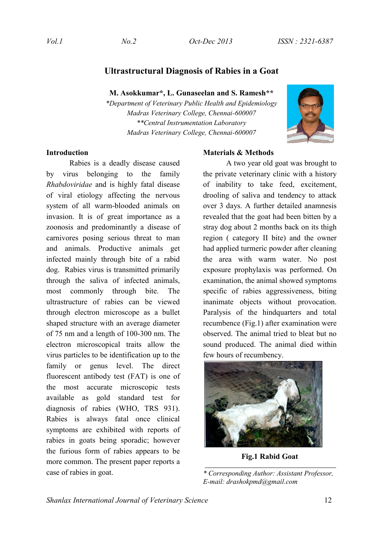# **Ultrastructural Diagnosis of Rabies in a Goat**

**M. Asokkumar\*, L. Gunaseelan and S. Ramesh\*\***

*\*Department of Veterinary Public Health and Epidemiology Madras Veterinary College, Chennai-600007 \*\*Central Instrumentation Laboratory Madras Veterinary College, Chennai-600007*



## **Introduction**

Rabies is a deadly disease caused by virus belonging to the family *Rhabdoviridae* and is highly fatal disease of viral etiology affecting the nervous system of all warm-blooded animals on invasion. It is of great importance as a zoonosis and predominantly a disease of carnivores posing serious threat to man and animals. Productive animals get infected mainly through bite of a rabid dog. Rabies virus is transmitted primarily through the saliva of infected animals, most commonly through bite. The ultrastructure of rabies can be viewed through electron microscope as a bullet shaped structure with an average diameter of 75 nm and a length of 100-300 nm. The electron microscopical traits allow the virus particles to be identification up to the family or genus level. The direct fluorescent antibody test (FAT) is one of the most accurate microscopic tests available as gold standard test for diagnosis of rabies (WHO, TRS 931). Rabies is always fatal once clinical symptoms are exhibited with reports of rabies in goats being sporadic; however the furious form of rabies appears to be more common. The present paper reports a case of rabies in goat.

## **Materials & Methods**

A two year old goat was brought to the private veterinary clinic with a history of inability to take feed, excitement, drooling of saliva and tendency to attack over 3 days. A further detailed anamnesis revealed that the goat had been bitten by a stray dog about 2 months back on its thigh region ( category II bite) and the owner had applied turmeric powder after cleaning the area with warm water. No post exposure prophylaxis was performed. On examination, the animal showed symptoms specific of rabies aggressiveness, biting inanimate objects without provocation. Paralysis of the hindquarters and total recumbence (Fig.1) after examination were observed. The animal tried to bleat but no sound produced. The animal died within few hours of recumbency.



**Fig.1 Rabid Goat**

*\* Corresponding Author: Assistant Professor, E-mail: drashokpmd@gmail.com*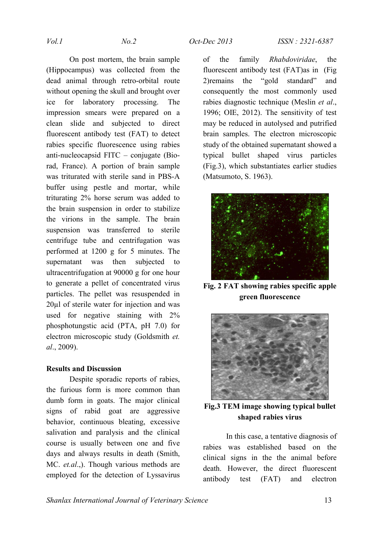On post mortem, the brain sample (Hippocampus) was collected from the dead animal through retro-orbital route without opening the skull and brought over ice for laboratory processing. The impression smears were prepared on a clean slide and subjected to direct fluorescent antibody test (FAT) to detect rabies specific fluorescence using rabies anti-nucleocapsid FITC – conjugate (Biorad, France). A portion of brain sample was triturated with sterile sand in PBS-A buffer using pestle and mortar, while triturating 2% horse serum was added to the brain suspension in order to stabilize the virions in the sample. The brain suspension was transferred to sterile centrifuge tube and centrifugation was performed at 1200 g for 5 minutes. The supernatant was then subjected to ultracentrifugation at 90000 g for one hour to generate a pellet of concentrated virus particles. The pellet was resuspended in 20µl of sterile water for injection and was used for negative staining with 2% phosphotungstic acid (PTA, pH 7.0) for electron microscopic study (Goldsmith *et. al*., 2009).

### **Results and Discussion**

Despite sporadic reports of rabies, the furious form is more common than dumb form in goats. The major clinical signs of rabid goat are aggressive behavior, continuous bleating, excessive salivation and paralysis and the clinical course is usually between one and five days and always results in death (Smith, MC. *et.al*.,). Though various methods are employed for the detection of Lyssavirus of the family *Rhabdoviridae*, the fluorescent antibody test (FAT)as in (Fig 2)remains the "gold standard" and consequently the most commonly used rabies diagnostic technique (Meslin *et al*., 1996; OIE, 2012). The sensitivity of test may be reduced in autolysed and putrified brain samples. The electron microscopic study of the obtained supernatant showed a typical bullet shaped virus particles (Fig.3), which substantiates earlier studies (Matsumoto, S. 1963).



**Fig. 2 FAT showing rabies specific apple green fluorescence**



**Fig.3 TEM image showing typical bullet shaped rabies virus**

In this case, a tentative diagnosis of rabies was established based on the clinical signs in the the animal before death. However, the direct fluorescent antibody test (FAT) and electron